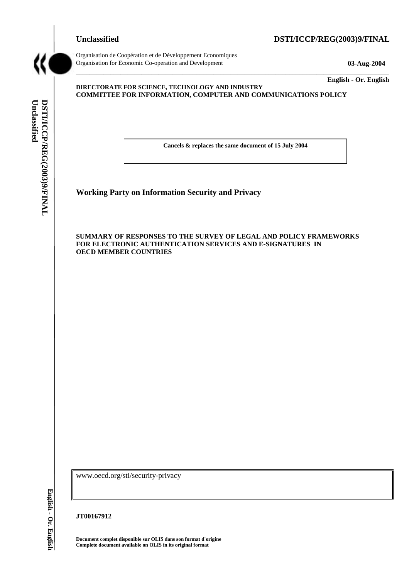# **Unclassified DSTI/ICCP/REG(2003)9/FINAL**



Organisation de Coopération et de Développement Economiques Organisation for Economic Co-operation and Development **03-Aug-2004** 

\_\_\_\_\_\_\_\_\_\_\_\_\_ **English - Or. English** 

#### **DIRECTORATE FOR SCIENCE, TECHNOLOGY AND INDUSTRY COMMITTEE FOR INFORMATION, COMPUTER AND COMMUNICATIONS POLICY**

**Cancels & replaces the same document of 15 July 2004** 

\_\_\_\_\_\_\_\_\_\_\_\_\_\_\_\_\_\_\_\_\_\_\_\_\_\_\_\_\_\_\_\_\_\_\_\_\_\_\_\_\_\_\_\_\_\_\_\_\_\_\_\_\_\_\_\_\_\_\_\_\_\_\_\_\_\_\_\_\_\_\_\_\_\_\_\_\_\_\_\_\_\_\_\_\_\_\_\_\_\_\_

**Working Party on Information Security and Privacy** 

#### **SUMMARY OF RESPONSES TO THE SURVEY OF LEGAL AND POLICY FRAMEWORKS FOR ELECTRONIC AUTHENTICATION SERVICES AND E-SIGNATURES IN OECD MEMBER COUNTRIES**

www.oecd.org/sti/security-privacy

English - Or. English

**JT00167912** 

**Document complet disponible sur OLIS dans son format d'origine Complete document available on OLIS in its original format**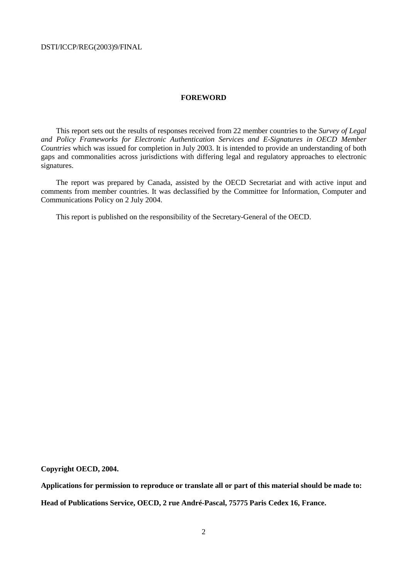#### **FOREWORD**

This report sets out the results of responses received from 22 member countries to the *Survey of Legal and Policy Frameworks for Electronic Authentication Services and E-Signatures in OECD Member Countries* which was issued for completion in July 2003. It is intended to provide an understanding of both gaps and commonalities across jurisdictions with differing legal and regulatory approaches to electronic signatures.

The report was prepared by Canada, assisted by the OECD Secretariat and with active input and comments from member countries. It was declassified by the Committee for Information, Computer and Communications Policy on 2 July 2004.

This report is published on the responsibility of the Secretary-General of the OECD.

**Copyright OECD, 2004.** 

**Applications for permission to reproduce or translate all or part of this material should be made to: Head of Publications Service, OECD, 2 rue André-Pascal, 75775 Paris Cedex 16, France.**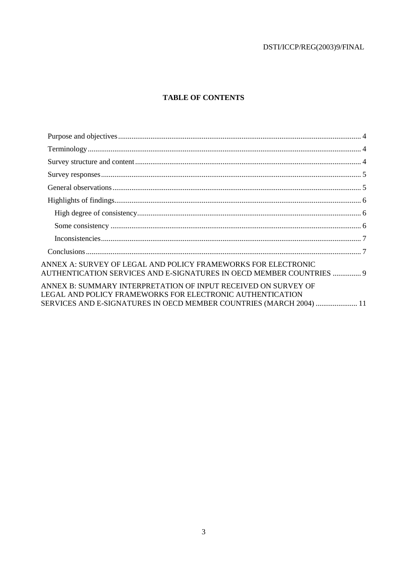# **TABLE OF CONTENTS**

| ANNEX A: SURVEY OF LEGAL AND POLICY FRAMEWORKS FOR ELECTRONIC<br>AUTHENTICATION SERVICES AND E-SIGNATURES IN OECD MEMBER COUNTRIES  9                                                              |  |
|----------------------------------------------------------------------------------------------------------------------------------------------------------------------------------------------------|--|
| ANNEX B: SUMMARY INTERPRETATION OF INPUT RECEIVED ON SURVEY OF<br>LEGAL AND POLICY FRAMEWORKS FOR ELECTRONIC AUTHENTICATION<br>SERVICES AND E-SIGNATURES IN OECD MEMBER COUNTRIES (MARCH 2004)  11 |  |
|                                                                                                                                                                                                    |  |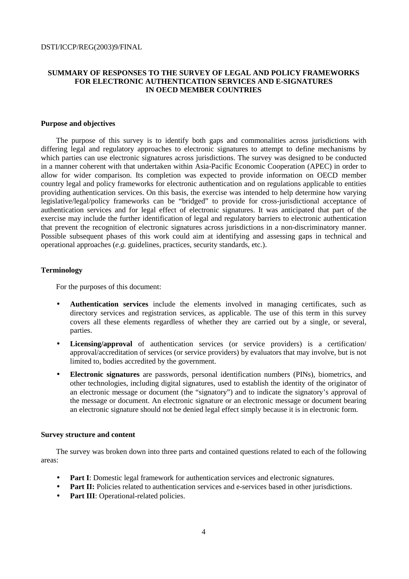## **SUMMARY OF RESPONSES TO THE SURVEY OF LEGAL AND POLICY FRAMEWORKS FOR ELECTRONIC AUTHENTICATION SERVICES AND E-SIGNATURES IN OECD MEMBER COUNTRIES**

### **Purpose and objectives**

The purpose of this survey is to identify both gaps and commonalities across jurisdictions with differing legal and regulatory approaches to electronic signatures to attempt to define mechanisms by which parties can use electronic signatures across jurisdictions. The survey was designed to be conducted in a manner coherent with that undertaken within Asia-Pacific Economic Cooperation (APEC) in order to allow for wider comparison. Its completion was expected to provide information on OECD member country legal and policy frameworks for electronic authentication and on regulations applicable to entities providing authentication services. On this basis, the exercise was intended to help determine how varying legislative/legal/policy frameworks can be "bridged" to provide for cross-jurisdictional acceptance of authentication services and for legal effect of electronic signatures. It was anticipated that part of the exercise may include the further identification of legal and regulatory barriers to electronic authentication that prevent the recognition of electronic signatures across jurisdictions in a non-discriminatory manner. Possible subsequent phases of this work could aim at identifying and assessing gaps in technical and operational approaches (*e.g.* guidelines, practices, security standards, etc.).

#### **Terminology**

For the purposes of this document:

- **Authentication services** include the elements involved in managing certificates, such as directory services and registration services, as applicable. The use of this term in this survey covers all these elements regardless of whether they are carried out by a single, or several, parties.
- **Licensing/approval** of authentication services (or service providers) is a certification/ approval/accreditation of services (or service providers) by evaluators that may involve, but is not limited to, bodies accredited by the government.
- **Electronic signatures** are passwords, personal identification numbers (PINs), biometrics, and other technologies, including digital signatures, used to establish the identity of the originator of an electronic message or document (the "signatory") and to indicate the signatory's approval of the message or document. An electronic signature or an electronic message or document bearing an electronic signature should not be denied legal effect simply because it is in electronic form.

#### **Survey structure and content**

The survey was broken down into three parts and contained questions related to each of the following areas:

- **Part I**: Domestic legal framework for authentication services and electronic signatures.
- **Part II:** Policies related to authentication services and e-services based in other jurisdictions.
- **Part III**: Operational-related policies.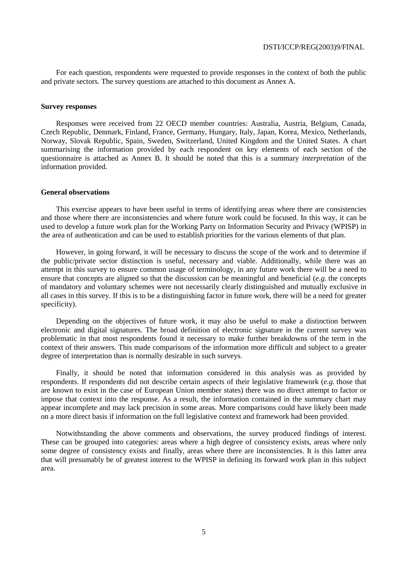For each question, respondents were requested to provide responses in the context of both the public and private sectors. The survey questions are attached to this document as Annex A.

#### **Survey responses**

Responses were received from 22 OECD member countries: Australia, Austria, Belgium, Canada, Czech Republic, Denmark, Finland, France, Germany, Hungary, Italy, Japan, Korea, Mexico, Netherlands, Norway, Slovak Republic, Spain, Sweden, Switzerland, United Kingdom and the United States. A chart summarising the information provided by each respondent on key elements of each section of the questionnaire is attached as Annex B. It should be noted that this is a summary *interpretation* of the information provided.

#### **General observations**

This exercise appears to have been useful in terms of identifying areas where there are consistencies and those where there are inconsistencies and where future work could be focused. In this way, it can be used to develop a future work plan for the Working Party on Information Security and Privacy (WPISP) in the area of authentication and can be used to establish priorities for the various elements of that plan.

However, in going forward, it will be necessary to discuss the scope of the work and to determine if the public/private sector distinction is useful, necessary and viable. Additionally, while there was an attempt in this survey to ensure common usage of terminology, in any future work there will be a need to ensure that concepts are aligned so that the discussion can be meaningful and beneficial (*e.g.* the concepts of mandatory and voluntary schemes were not necessarily clearly distinguished and mutually exclusive in all cases in this survey. If this is to be a distinguishing factor in future work, there will be a need for greater specificity).

Depending on the objectives of future work, it may also be useful to make a distinction between electronic and digital signatures. The broad definition of electronic signature in the current survey was problematic in that most respondents found it necessary to make further breakdowns of the term in the context of their answers. This made comparisons of the information more difficult and subject to a greater degree of interpretation than is normally desirable in such surveys.

Finally, it should be noted that information considered in this analysis was as provided by respondents. If respondents did not describe certain aspects of their legislative framework (*e.g.* those that are known to exist in the case of European Union member states) there was no direct attempt to factor or impose that context into the response. As a result, the information contained in the summary chart may appear incomplete and may lack precision in some areas. More comparisons could have likely been made on a more direct basis if information on the full legislative context and framework had been provided.

Notwithstanding the above comments and observations, the survey produced findings of interest. These can be grouped into categories: areas where a high degree of consistency exists, areas where only some degree of consistency exists and finally, areas where there are inconsistencies. It is this latter area that will presumably be of greatest interest to the WPISP in defining its forward work plan in this subject area.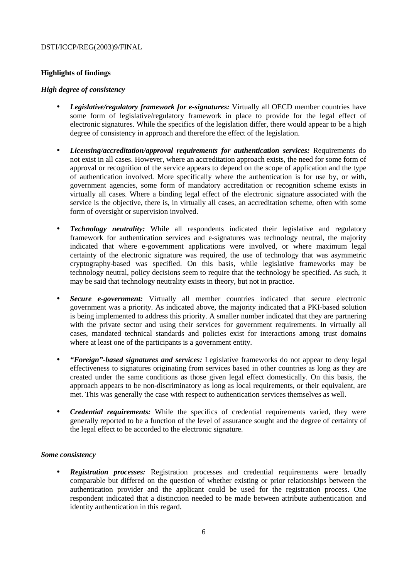# **Highlights of findings**

## *High degree of consistency*

- *Legislative/regulatory framework for e-signatures:* Virtually all OECD member countries have some form of legislative/regulatory framework in place to provide for the legal effect of electronic signatures. While the specifics of the legislation differ, there would appear to be a high degree of consistency in approach and therefore the effect of the legislation.
- *Licensing/accreditation/approval requirements for authentication services:* Requirements do not exist in all cases. However, where an accreditation approach exists, the need for some form of approval or recognition of the service appears to depend on the scope of application and the type of authentication involved. More specifically where the authentication is for use by, or with, government agencies, some form of mandatory accreditation or recognition scheme exists in virtually all cases. Where a binding legal effect of the electronic signature associated with the service is the objective, there is, in virtually all cases, an accreditation scheme, often with some form of oversight or supervision involved.
- *Technology neutrality:* While all respondents indicated their legislative and regulatory framework for authentication services and e-signatures was technology neutral, the majority indicated that where e-government applications were involved, or where maximum legal certainty of the electronic signature was required, the use of technology that was asymmetric cryptography-based was specified. On this basis, while legislative frameworks may be technology neutral, policy decisions seem to require that the technology be specified. As such, it may be said that technology neutrality exists in theory, but not in practice.
- *Secure e-government:* Virtually all member countries indicated that secure electronic government was a priority. As indicated above, the majority indicated that a PKI-based solution is being implemented to address this priority. A smaller number indicated that they are partnering with the private sector and using their services for government requirements. In virtually all cases, mandated technical standards and policies exist for interactions among trust domains where at least one of the participants is a government entity.
- *"Foreign"-based signatures and services:* Legislative frameworks do not appear to deny legal effectiveness to signatures originating from services based in other countries as long as they are created under the same conditions as those given legal effect domestically. On this basis, the approach appears to be non-discriminatory as long as local requirements, or their equivalent, are met. This was generally the case with respect to authentication services themselves as well.
- *Credential requirements:* While the specifics of credential requirements varied, they were generally reported to be a function of the level of assurance sought and the degree of certainty of the legal effect to be accorded to the electronic signature.

## *Some consistency*

• *Registration processes:* Registration processes and credential requirements were broadly comparable but differed on the question of whether existing or prior relationships between the authentication provider and the applicant could be used for the registration process. One respondent indicated that a distinction needed to be made between attribute authentication and identity authentication in this regard.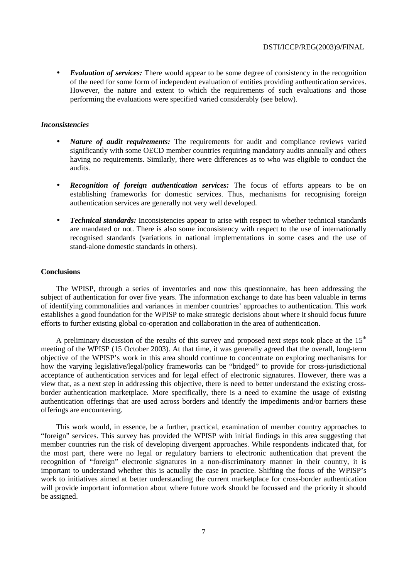• *Evaluation of services:* There would appear to be some degree of consistency in the recognition of the need for some form of independent evaluation of entities providing authentication services. However, the nature and extent to which the requirements of such evaluations and those performing the evaluations were specified varied considerably (see below).

#### *Inconsistencies*

- *Nature of audit requirements:* The requirements for audit and compliance reviews varied significantly with some OECD member countries requiring mandatory audits annually and others having no requirements. Similarly, there were differences as to who was eligible to conduct the audits.
- **Recognition of foreign authentication services:** The focus of efforts appears to be on establishing frameworks for domestic services. Thus, mechanisms for recognising foreign authentication services are generally not very well developed.
- *Technical standards:* Inconsistencies appear to arise with respect to whether technical standards are mandated or not. There is also some inconsistency with respect to the use of internationally recognised standards (variations in national implementations in some cases and the use of stand-alone domestic standards in others).

#### **Conclusions**

The WPISP, through a series of inventories and now this questionnaire, has been addressing the subject of authentication for over five years. The information exchange to date has been valuable in terms of identifying commonalities and variances in member countries' approaches to authentication. This work establishes a good foundation for the WPISP to make strategic decisions about where it should focus future efforts to further existing global co-operation and collaboration in the area of authentication.

A preliminary discussion of the results of this survey and proposed next steps took place at the  $15<sup>th</sup>$ meeting of the WPISP (15 October 2003). At that time, it was generally agreed that the overall, long-term objective of the WPISP's work in this area should continue to concentrate on exploring mechanisms for how the varying legislative/legal/policy frameworks can be "bridged" to provide for cross-jurisdictional acceptance of authentication services and for legal effect of electronic signatures. However, there was a view that, as a next step in addressing this objective, there is need to better understand the existing crossborder authentication marketplace. More specifically, there is a need to examine the usage of existing authentication offerings that are used across borders and identify the impediments and/or barriers these offerings are encountering.

This work would, in essence, be a further, practical, examination of member country approaches to "foreign" services. This survey has provided the WPISP with initial findings in this area suggesting that member countries run the risk of developing divergent approaches. While respondents indicated that, for the most part, there were no legal or regulatory barriers to electronic authentication that prevent the recognition of "foreign" electronic signatures in a non-discriminatory manner in their country, it is important to understand whether this is actually the case in practice. Shifting the focus of the WPISP's work to initiatives aimed at better understanding the current marketplace for cross-border authentication will provide important information about where future work should be focussed and the priority it should be assigned.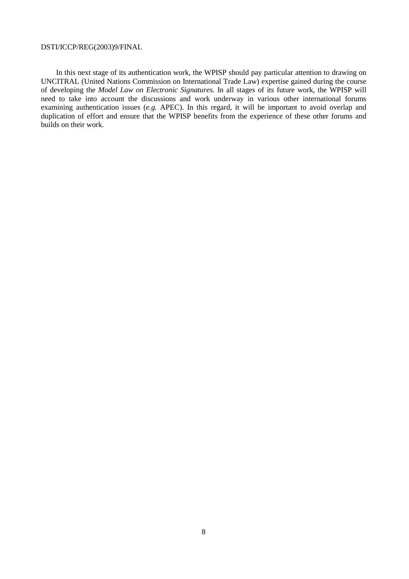In this next stage of its authentication work, the WPISP should pay particular attention to drawing on UNCITRAL (United Nations Commission on International Trade Law) expertise gained during the course of developing the *Model Law on Electronic Signatures.* In all stages of its future work, the WPISP will need to take into account the discussions and work underway in various other international forums examining authentication issues (*e.g.* APEC). In this regard, it will be important to avoid overlap and duplication of effort and ensure that the WPISP benefits from the experience of these other forums and builds on their work.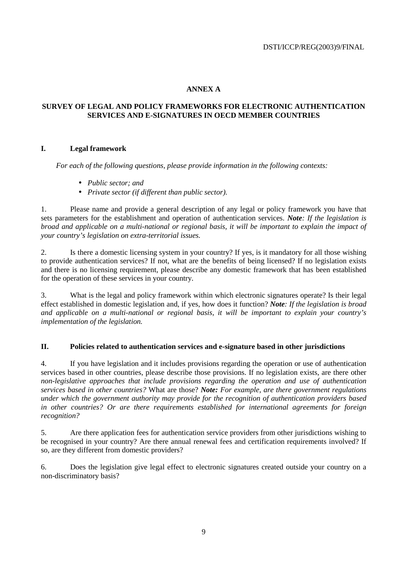# **ANNEX A**

# **SURVEY OF LEGAL AND POLICY FRAMEWORKS FOR ELECTRONIC AUTHENTICATION SERVICES AND E-SIGNATURES IN OECD MEMBER COUNTRIES**

# **I. Legal framework**

*For each of the following questions, please provide information in the following contexts:* 

- *Public sector; and*
- *Private sector (if different than public sector).*

1. Please name and provide a general description of any legal or policy framework you have that sets parameters for the establishment and operation of authentication services. *Note: If the legislation is broad and applicable on a multi-national or regional basis, it will be important to explain the impact of your country's legislation on extra-territorial issues.*

2. Is there a domestic licensing system in your country? If yes, is it mandatory for all those wishing to provide authentication services? If not, what are the benefits of being licensed? If no legislation exists and there is no licensing requirement, please describe any domestic framework that has been established for the operation of these services in your country.

3. What is the legal and policy framework within which electronic signatures operate? Is their legal effect established in domestic legislation and, if yes, how does it function? *Note: If the legislation is broad and applicable on a multi-national or regional basis, it will be important to explain your country's implementation of the legislation.* 

## **II. Policies related to authentication services and e-signature based in other jurisdictions**

4. If you have legislation and it includes provisions regarding the operation or use of authentication services based in other countries, please describe those provisions. If no legislation exists, are there other *non-legislative approaches that include provisions regarding the operation and use of authentication services based in other countries?* What are those? *Note: For example, are there government regulations under which the government authority may provide for the recognition of authentication providers based in other countries? Or are there requirements established for international agreements for foreign recognition?* 

5. Are there application fees for authentication service providers from other jurisdictions wishing to be recognised in your country? Are there annual renewal fees and certification requirements involved? If so, are they different from domestic providers?

6. Does the legislation give legal effect to electronic signatures created outside your country on a non-discriminatory basis?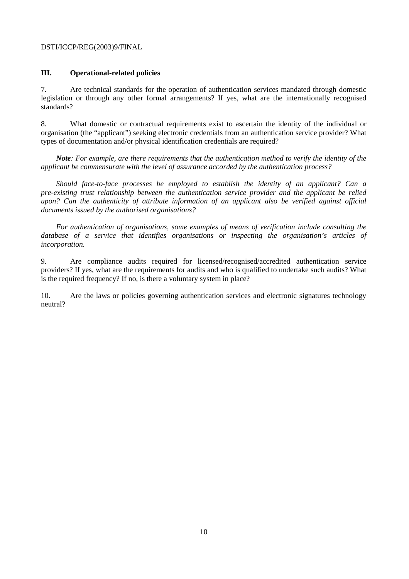# **III. Operational-related policies**

7. Are technical standards for the operation of authentication services mandated through domestic legislation or through any other formal arrangements? If yes, what are the internationally recognised standards?

8. What domestic or contractual requirements exist to ascertain the identity of the individual or organisation (the "applicant") seeking electronic credentials from an authentication service provider? What types of documentation and/or physical identification credentials are required?

*Note: For example, are there requirements that the authentication method to verify the identity of the applicant be commensurate with the level of assurance accorded by the authentication process?* 

*Should face-to-face processes be employed to establish the identity of an applicant? Can a pre-existing trust relationship between the authentication service provider and the applicant be relied upon? Can the authenticity of attribute information of an applicant also be verified against official documents issued by the authorised organisations?* 

*For authentication of organisations, some examples of means of verification include consulting the database of a service that identifies organisations or inspecting the organisation's articles of incorporation.* 

9. Are compliance audits required for licensed/recognised/accredited authentication service providers? If yes, what are the requirements for audits and who is qualified to undertake such audits? What is the required frequency? If no, is there a voluntary system in place?

10. Are the laws or policies governing authentication services and electronic signatures technology neutral?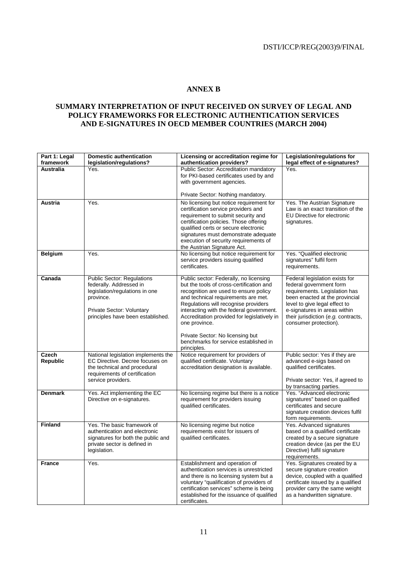# **ANNEX B**

## **SUMMARY INTERPRETATION OF INPUT RECEIVED ON SURVEY OF LEGAL AND POLICY FRAMEWORKS FOR ELECTRONIC AUTHENTICATION SERVICES AND E-SIGNATURES IN OECD MEMBER COUNTRIES (MARCH 2004)**

| Part 1: Legal<br>framework | <b>Domestic authentication</b><br>legislation/regulations?                                                                                                                    | Licensing or accreditation regime for<br>authentication providers?                                                                                                                                                                                                                                                                                                                                                 | <b>Legislation/regulations for</b><br>legal effect of e-signatures?                                                                                                                                                                                           |
|----------------------------|-------------------------------------------------------------------------------------------------------------------------------------------------------------------------------|--------------------------------------------------------------------------------------------------------------------------------------------------------------------------------------------------------------------------------------------------------------------------------------------------------------------------------------------------------------------------------------------------------------------|---------------------------------------------------------------------------------------------------------------------------------------------------------------------------------------------------------------------------------------------------------------|
| Australia                  | Yes.                                                                                                                                                                          | Public Sector: Accreditation mandatory<br>for PKI-based certificates used by and<br>with government agencies.                                                                                                                                                                                                                                                                                                      | Yes.                                                                                                                                                                                                                                                          |
|                            |                                                                                                                                                                               | Private Sector: Nothing mandatory.                                                                                                                                                                                                                                                                                                                                                                                 |                                                                                                                                                                                                                                                               |
| Austria                    | Yes.                                                                                                                                                                          | No licensing but notice requirement for<br>certification service providers and<br>requirement to submit security and<br>certification policies. Those offering<br>qualified certs or secure electronic<br>signatures must demonstrate adequate<br>execution of security requirements of<br>the Austrian Signature Act.                                                                                             | Yes. The Austrian Signature<br>Law is an exact transition of the<br>EU Directive for electronic<br>signatures.                                                                                                                                                |
| <b>Belgium</b>             | Yes.                                                                                                                                                                          | No licensing but notice requirement for<br>service providers issuing qualified<br>certificates.                                                                                                                                                                                                                                                                                                                    | Yes. "Qualified electronic<br>signatures" fulfil form<br>requirements.                                                                                                                                                                                        |
| Canada                     | <b>Public Sector: Regulations</b><br>federally. Addressed in<br>legislation/regulations in one<br>province.<br>Private Sector: Voluntary<br>principles have been established. | Public sector: Federally, no licensing<br>but the tools of cross-certification and<br>recognition are used to ensure policy<br>and technical requirements are met.<br>Regulations will recognise providers<br>interacting with the federal government.<br>Accreditation provided for legislatively in<br>one province.<br>Private Sector: No licensing but<br>benchmarks for service established in<br>principles. | Federal legislation exists for<br>federal government form<br>requirements. Legislation has<br>been enacted at the provincial<br>level to give legal effect to<br>e-signatures in areas within<br>their jurisdiction (e.g. contracts,<br>consumer protection). |
| Czech<br><b>Republic</b>   | National legislation implements the<br>EC Directive. Decree focuses on<br>the technical and procedural<br>requirements of certification<br>service providers.                 | Notice requirement for providers of<br>qualified certificate. Voluntary<br>accreditation designation is available.                                                                                                                                                                                                                                                                                                 | Public sector: Yes if they are<br>advanced e-sigs based on<br>qualified certificates.<br>Private sector: Yes, if agreed to<br>by transacting parties.                                                                                                         |
| <b>Denmark</b>             | Yes. Act implementing the EC<br>Directive on e-signatures.                                                                                                                    | No licensing regime but there is a notice<br>requirement for providers issuing<br>qualified certificates.                                                                                                                                                                                                                                                                                                          | Yes. "Advanced electronic<br>signatures" based on qualified<br>certificates and secure<br>signature creation devices fulfil<br>form requirements.                                                                                                             |
| <b>Finland</b>             | Yes. The basic framework of<br>authentication and electronic<br>signatures for both the public and<br>private sector is defined in<br>legislation.                            | No licensing regime but notice<br>requirements exist for issuers of<br>qualified certificates.                                                                                                                                                                                                                                                                                                                     | Yes. Advanced signatures<br>based on a qualified certificate<br>created by a secure signature<br>creation device (as per the EU<br>Directive) fulfil signature<br>requirements.                                                                               |
| <b>France</b>              | Yes.                                                                                                                                                                          | Establishment and operation of<br>authentication services is unrestricted<br>and there is no licensing system but a<br>voluntary "qualification of providers of<br>certification services" scheme is being<br>established for the issuance of qualified<br>certificates.                                                                                                                                           | Yes. Signatures created by a<br>secure signature creation<br>device, coupled with a qualified<br>certificate issued by a qualified<br>provider carry the same weight<br>as a handwritten signature.                                                           |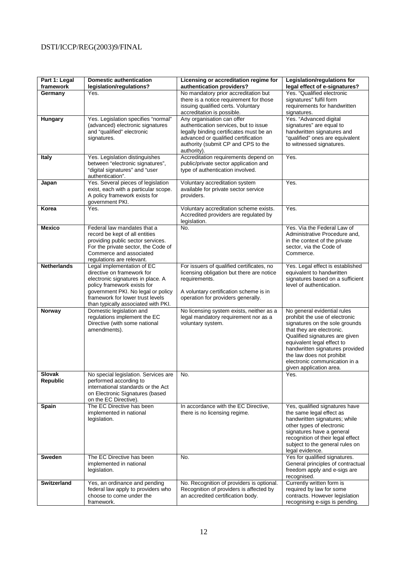| Part 1: Legal<br>framework | <b>Domestic authentication</b><br>legislation/regulations?                                                                                                                                                                                    | Licensing or accreditation regime for<br>authentication providers?                                                                                                                                          | Legislation/regulations for<br>legal effect of e-signatures?                                                                                                                                                                                                                                                             |
|----------------------------|-----------------------------------------------------------------------------------------------------------------------------------------------------------------------------------------------------------------------------------------------|-------------------------------------------------------------------------------------------------------------------------------------------------------------------------------------------------------------|--------------------------------------------------------------------------------------------------------------------------------------------------------------------------------------------------------------------------------------------------------------------------------------------------------------------------|
| Germany                    | Yes.                                                                                                                                                                                                                                          | No mandatory prior accreditation but<br>there is a notice requirement for those<br>issuing qualified certs. Voluntary<br>accreditation is possible.                                                         | Yes. "Qualified electronic<br>signatures" fulfil form<br>requirements for handwritten<br>signatures.                                                                                                                                                                                                                     |
| Hungary                    | Yes. Legislation specifies "normal"<br>(advanced) electronic signatures<br>and "qualified" electronic<br>signatures.                                                                                                                          | Any organisation can offer<br>authentication services, but to issue<br>legally binding certificates must be an<br>advanced or qualified certification<br>authority (submit CP and CPS to the<br>authority). | Yes. "Advanced digital<br>signatures" are equal to<br>handwritten signatures and<br>"qualified" ones are equivalent<br>to witnessed signatures.                                                                                                                                                                          |
| <b>Italy</b>               | Yes. Legislation distinguishes<br>between "electronic signatures",<br>"digital signatures" and "user<br>authentication".                                                                                                                      | Accreditation requirements depend on<br>public/private sector application and<br>type of authentication involved.                                                                                           | Yes.                                                                                                                                                                                                                                                                                                                     |
| Japan                      | Yes. Several pieces of legislation<br>exist, each with a particular scope.<br>A policy framework exists for<br>government PKI.                                                                                                                | Voluntary accreditation system<br>available for private sector service<br>providers.                                                                                                                        | Yes.                                                                                                                                                                                                                                                                                                                     |
| Korea                      | Yes.                                                                                                                                                                                                                                          | Voluntary accreditation scheme exists.<br>Accredited providers are regulated by<br>legislation.                                                                                                             | Yes.                                                                                                                                                                                                                                                                                                                     |
| <b>Mexico</b>              | Federal law mandates that a<br>record be kept of all entities<br>providing public sector services.<br>For the private sector, the Code of<br>Commerce and associated<br>regulations are relevant.                                             | No.                                                                                                                                                                                                         | Yes. Via the Federal Law of<br>Administrative Procedure and.<br>in the context of the private<br>sector, via the Code of<br>Commerce.                                                                                                                                                                                    |
| <b>Netherlands</b>         | Legal implementation of EC<br>directive on framework for<br>electronic signatures in place. A<br>policy framework exists for<br>government PKI. No legal or policy<br>framework for lower trust levels<br>than typically associated with PKI. | For issuers of qualified certificates, no<br>licensing obligation but there are notice<br>requirements.<br>A voluntary certification scheme is in<br>operation for providers generally.                     | Yes. Legal effect is established<br>equivalent to handwritten<br>signatures based on a sufficient<br>level of authentication.                                                                                                                                                                                            |
| Norway                     | Domestic legislation and<br>regulations implement the EC<br>Directive (with some national<br>amendments).                                                                                                                                     | No licensing system exists, neither as a<br>legal mandatory requirement nor as a<br>voluntary system.                                                                                                       | No general evidential rules<br>prohibit the use of electronic<br>signatures on the sole grounds<br>that they are electronic.<br>Qualified signatures are given<br>equivalent legal effect to<br>handwritten signatures provided<br>the law does not prohibit<br>electronic communication in a<br>given application area. |
| <b>Slovak</b><br>Republic  | No special legislation. Services are<br>performed according to<br>international standards or the Act<br>on Electronic Signatures (based<br>on the EC Directive).                                                                              | No.                                                                                                                                                                                                         | Yes.                                                                                                                                                                                                                                                                                                                     |
| Spain                      | The EC Directive has been<br>implemented in national<br>legislation.                                                                                                                                                                          | In accordance with the EC Directive,<br>there is no licensing regime.                                                                                                                                       | Yes, qualified signatures have<br>the same legal effect as<br>handwritten signatures; while<br>other types of electronic<br>signatures have a general<br>recognition of their legal effect<br>subject to the general rules on<br>legal evidence.                                                                         |
| <b>Sweden</b>              | The EC Directive has been<br>implemented in national<br>legislation.                                                                                                                                                                          | No.                                                                                                                                                                                                         | Yes for qualified signatures.<br>General principles of contractual<br>freedom apply and e-sigs are<br>recognised.                                                                                                                                                                                                        |
| <b>Switzerland</b>         | Yes, an ordinance and pending<br>federal law apply to providers who<br>choose to come under the<br>framework.                                                                                                                                 | No. Recognition of providers is optional.<br>Recognition of providers is affected by<br>an accredited certification body.                                                                                   | Currently written form is<br>required by law for some<br>contracts. However legislation<br>recognising e-sigs is pending.                                                                                                                                                                                                |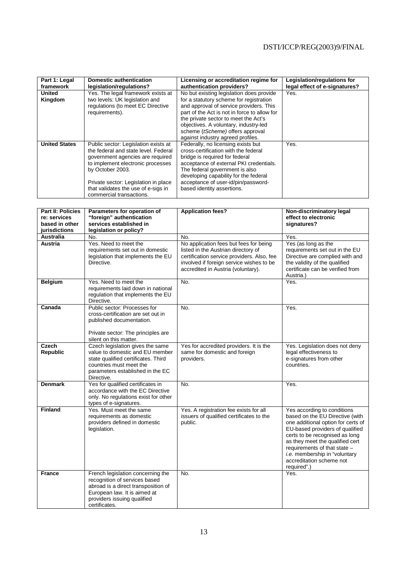| Part 1: Legal<br>framework | <b>Domestic authentication</b><br>legislation/regulations?                                                                                                                                                                                                                           | Licensing or accreditation regime for<br>authentication providers?                                                                                                                                                                                                                                                                       | Legislation/regulations for<br>legal effect of e-signatures? |
|----------------------------|--------------------------------------------------------------------------------------------------------------------------------------------------------------------------------------------------------------------------------------------------------------------------------------|------------------------------------------------------------------------------------------------------------------------------------------------------------------------------------------------------------------------------------------------------------------------------------------------------------------------------------------|--------------------------------------------------------------|
| <b>United</b><br>Kingdom   | Yes. The legal framework exists at<br>two levels: UK legislation and<br>regulations (to meet EC Directive<br>requirements).                                                                                                                                                          | No but existing legislation does provide<br>for a statutory scheme for registration<br>and approval of service providers. This<br>part of the Act is not in force to allow for<br>the private sector to meet the Act's<br>objectives. A voluntary, industry-led<br>scheme (tScheme) offers approval<br>against industry agreed profiles. | Yes.                                                         |
| <b>United States</b>       | Public sector: Legislation exists at<br>the federal and state level. Federal<br>government agencies are required<br>to implement electronic processes<br>by October 2003.<br>Private sector: Legislation in place<br>that validates the use of e-sigs in<br>commercial transactions. | Federally, no licensing exists but<br>cross-certification with the federal<br>bridge is required for federal<br>acceptance of external PKI credentials.<br>The federal government is also<br>developing capability for the federal<br>acceptance of user-id/pin/password-<br>based identity assertions.                                  | Yes.                                                         |

| <b>Part II: Policies</b><br>re: services | Parameters for operation of<br>"foreign" authentication                                                                                                                                   | <b>Application fees?</b>                                                                                                                                                                                      | Non-discriminatory legal<br>effect to electronic                                                                                                                                                                                                                                                                         |
|------------------------------------------|-------------------------------------------------------------------------------------------------------------------------------------------------------------------------------------------|---------------------------------------------------------------------------------------------------------------------------------------------------------------------------------------------------------------|--------------------------------------------------------------------------------------------------------------------------------------------------------------------------------------------------------------------------------------------------------------------------------------------------------------------------|
| based in other<br>jurisdictions          | services established in<br>legislation or policy?                                                                                                                                         |                                                                                                                                                                                                               | signatures?                                                                                                                                                                                                                                                                                                              |
| Australia                                | No.                                                                                                                                                                                       | No.                                                                                                                                                                                                           | Yes.                                                                                                                                                                                                                                                                                                                     |
| <b>Austria</b>                           | Yes. Need to meet the<br>requirements set out in domestic<br>legislation that implements the EU<br>Directive.                                                                             | No application fees but fees for being<br>listed in the Austrian directory of<br>certification service providers. Also, fee<br>involved if foreign service wishes to be<br>accredited in Austria (voluntary). | Yes (as long as the<br>requirements set out in the EU<br>Directive are complied with and<br>the validity of the qualified<br>certificate can be verified from<br>Austria.)                                                                                                                                               |
| <b>Belgium</b>                           | Yes. Need to meet the<br>requirements laid down in national<br>regulation that implements the EU<br>Directive.                                                                            | No.                                                                                                                                                                                                           | Yes.                                                                                                                                                                                                                                                                                                                     |
| Canada                                   | Public sector: Processes for<br>cross-certification are set out in<br>published documentation.<br>Private sector: The principles are<br>silent on this matter.                            | No.                                                                                                                                                                                                           | Yes.                                                                                                                                                                                                                                                                                                                     |
| Czech<br><b>Republic</b>                 | Czech legislation gives the same<br>value to domestic and EU member<br>state qualified certificates. Third<br>countries must meet the<br>parameters established in the EC<br>Directive.   | Yes for accredited providers. It is the<br>same for domestic and foreign<br>providers.                                                                                                                        | Yes. Legislation does not deny<br>legal effectiveness to<br>e-signatures from other<br>countries.                                                                                                                                                                                                                        |
| <b>Denmark</b>                           | Yes for qualified certificates in<br>accordance with the EC Directive<br>only. No regulations exist for other<br>types of e-signatures.                                                   | No.                                                                                                                                                                                                           | Yes.                                                                                                                                                                                                                                                                                                                     |
| <b>Finland</b>                           | Yes. Must meet the same<br>requirements as domestic<br>providers defined in domestic<br>legislation.                                                                                      | Yes. A registration fee exists for all<br>issuers of qualified certificates to the<br>public.                                                                                                                 | Yes according to conditions<br>based on the EU Directive (with<br>one additional option for certs of<br>EU-based providers of qualified<br>certs to be recognised as long<br>as they meet the qualified cert<br>requirements of that state -<br>i.e. membership in "voluntary<br>accreditation scheme not<br>required".) |
| <b>France</b>                            | French legislation concerning the<br>recognition of services based<br>abroad is a direct transposition of<br>European law. It is aimed at<br>providers issuing qualified<br>certificates. | No.                                                                                                                                                                                                           | Yes.                                                                                                                                                                                                                                                                                                                     |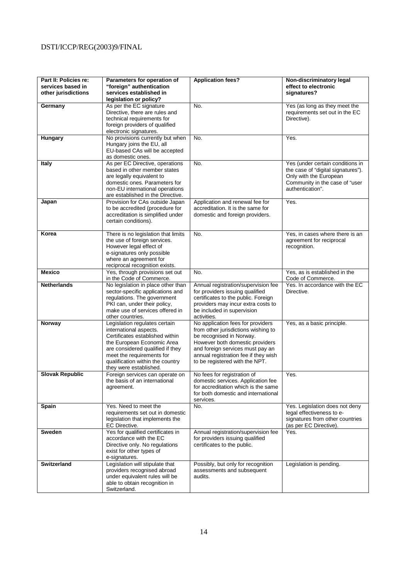| Part II: Policies re:<br>services based in<br>other jurisdictions | Parameters for operation of<br>"foreign" authentication<br>services established in<br>legislation or policy?                                                                                                                                            | <b>Application fees?</b>                                                                                                                                                                                                                              | Non-discriminatory legal<br>effect to electronic<br>signatures?                                                                                        |
|-------------------------------------------------------------------|---------------------------------------------------------------------------------------------------------------------------------------------------------------------------------------------------------------------------------------------------------|-------------------------------------------------------------------------------------------------------------------------------------------------------------------------------------------------------------------------------------------------------|--------------------------------------------------------------------------------------------------------------------------------------------------------|
| Germany                                                           | As per the EC signature<br>Directive, there are rules and<br>technical requirements for<br>foreign providers of qualified<br>electronic signatures.                                                                                                     | No.                                                                                                                                                                                                                                                   | Yes (as long as they meet the<br>requirements set out in the EC<br>Directive).                                                                         |
| Hungary                                                           | No provisions currently but when<br>Hungary joins the EU, all<br>EU-based CAs will be accepted<br>as domestic ones.                                                                                                                                     | No.                                                                                                                                                                                                                                                   | Yes.                                                                                                                                                   |
| <b>Italy</b>                                                      | As per EC Directive, operations<br>based in other member states<br>are legally equivalent to<br>domestic ones. Parameters for<br>non-EU international operations<br>are established in the Directive.                                                   | No.                                                                                                                                                                                                                                                   | Yes (under certain conditions in<br>the case of "digital signatures").<br>Only with the European<br>Community in the case of "user<br>authentication". |
| Japan                                                             | Provision for CAs outside Japan<br>to be accredited (procedure for<br>accreditation is simplified under<br>certain conditions).                                                                                                                         | Application and renewal fee for<br>accreditation. It is the same for<br>domestic and foreign providers.                                                                                                                                               | Yes.                                                                                                                                                   |
| Korea                                                             | There is no legislation that limits<br>the use of foreign services.<br>However legal effect of<br>e-signatures only possible<br>where an agreement for<br>reciprocal recognition exists.                                                                | No.                                                                                                                                                                                                                                                   | Yes, in cases where there is an<br>agreement for reciprocal<br>recognition.                                                                            |
| <b>Mexico</b>                                                     | Yes, through provisions set out<br>in the Code of Commerce.                                                                                                                                                                                             | No.                                                                                                                                                                                                                                                   | Yes, as is established in the<br>Code of Commerce.                                                                                                     |
| <b>Netherlands</b>                                                | No legislation in place other than<br>sector-specific applications and<br>regulations. The government<br>PKI can, under their policy,<br>make use of services offered in<br>other countries.                                                            | Annual registration/supervision fee<br>for providers issuing qualified<br>certificates to the public. Foreign<br>providers may incur extra costs to<br>be included in supervision<br>activities.                                                      | Yes. In accordance with the EC<br>Directive.                                                                                                           |
| Norway                                                            | Legislation regulates certain<br>international aspects.<br>Certificates established within<br>the European Economic Area<br>are considered qualified if they<br>meet the requirements for<br>qualification within the country<br>they were established. | No application fees for providers<br>from other jurisdictions wishing to<br>be recognised in Norway.<br>However both domestic providers<br>and foreign services must pay an<br>annual registration fee if they wish<br>to be registered with the NPT. | Yes, as a basic principle.                                                                                                                             |
| <b>Slovak Republic</b>                                            | Foreign services can operate on<br>the basis of an international<br>agreement.                                                                                                                                                                          | No fees for registration of<br>domestic services. Application fee<br>for accreditation which is the same<br>for both domestic and international<br>services.                                                                                          | Yes.                                                                                                                                                   |
| Spain                                                             | Yes. Need to meet the<br>requirements set out in domestic<br>legislation that implements the<br>EC Directive.                                                                                                                                           | No.                                                                                                                                                                                                                                                   | Yes. Legislation does not deny<br>legal effectiveness to e-<br>signatures from other countries<br>(as per EC Directive).                               |
| Sweden                                                            | Yes for qualified certificates in<br>accordance with the EC<br>Directive only. No regulations<br>exist for other types of<br>e-signatures.                                                                                                              | Annual registration/supervision fee<br>for providers issuing qualified<br>certificates to the public.                                                                                                                                                 | Yes.                                                                                                                                                   |
| <b>Switzerland</b>                                                | Legislation will stipulate that<br>providers recognised abroad<br>under equivalent rules will be<br>able to obtain recognition in<br>Switzerland.                                                                                                       | Possibly, but only for recognition<br>assessments and subsequent<br>audits.                                                                                                                                                                           | Legislation is pending.                                                                                                                                |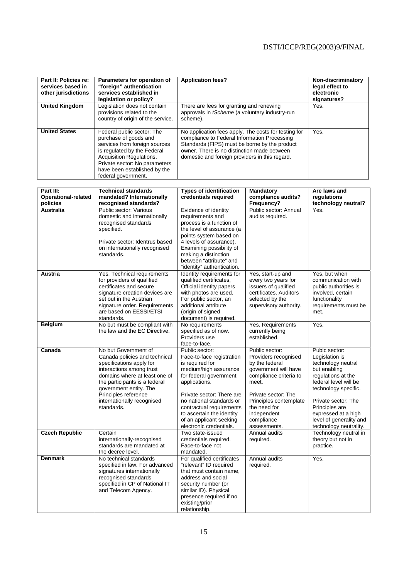| Part II: Policies re:<br>services based in<br>other jurisdictions | Parameters for operation of<br>"foreign" authentication<br>services established in<br>legislation or policy?                                                                                                                            | <b>Application fees?</b>                                                                                                                                                                                                                               | Non-discriminatory<br>legal effect to<br>electronic<br>signatures? |
|-------------------------------------------------------------------|-----------------------------------------------------------------------------------------------------------------------------------------------------------------------------------------------------------------------------------------|--------------------------------------------------------------------------------------------------------------------------------------------------------------------------------------------------------------------------------------------------------|--------------------------------------------------------------------|
| <b>United Kingdom</b>                                             | Legislation does not contain<br>provisions related to the<br>country of origin of the service.                                                                                                                                          | There are fees for granting and renewing<br>approvals in <i>tScheme</i> (a voluntary industry-run<br>scheme).                                                                                                                                          | Yes.                                                               |
| <b>United States</b>                                              | Federal public sector: The<br>purchase of goods and<br>services from foreign sources<br>is regulated by the Federal<br>Acquisition Regulations.<br>Private sector: No parameters<br>have been established by the<br>federal government. | No application fees apply. The costs for testing for<br>compliance to Federal Information Processing<br>Standards (FIPS) must be borne by the product<br>owner. There is no distinction made between<br>domestic and foreign providers in this regard. | Yes.                                                               |

| Part III:                  | <b>Technical standards</b>                                                                                                                                                                                                                                                    | <b>Types of identification</b>                                                                                                                                                                                                                                                                             | <b>Mandatory</b>                                                                                                                                                                                                                  | Are laws and                                                                                                                                                                                                                                                      |
|----------------------------|-------------------------------------------------------------------------------------------------------------------------------------------------------------------------------------------------------------------------------------------------------------------------------|------------------------------------------------------------------------------------------------------------------------------------------------------------------------------------------------------------------------------------------------------------------------------------------------------------|-----------------------------------------------------------------------------------------------------------------------------------------------------------------------------------------------------------------------------------|-------------------------------------------------------------------------------------------------------------------------------------------------------------------------------------------------------------------------------------------------------------------|
| <b>Operational-related</b> | mandated? Internationally                                                                                                                                                                                                                                                     | credentials required                                                                                                                                                                                                                                                                                       | compliance audits?                                                                                                                                                                                                                | regulations                                                                                                                                                                                                                                                       |
| policies                   | recognised standards?                                                                                                                                                                                                                                                         |                                                                                                                                                                                                                                                                                                            | Frequency?                                                                                                                                                                                                                        | technology neutral?                                                                                                                                                                                                                                               |
| <b>Australia</b>           | Public sector: Various<br>domestic and internationally<br>recognised standards<br>specified.<br>Private sector: Identrus based<br>on internationally recognised<br>standards.                                                                                                 | Evidence of identity<br>requirements and<br>process is a function of<br>the level of assurance (a<br>points system based on<br>4 levels of assurance).<br>Examining possibility of<br>making a distinction<br>between "attribute" and<br>"identity" authentication.                                        | Public sector: Annual<br>audits required.                                                                                                                                                                                         | Yes.                                                                                                                                                                                                                                                              |
| <b>Austria</b>             | Yes. Technical requirements<br>for providers of qualified<br>certificates and secure<br>signature creation devices are<br>set out in the Austrian<br>signature order. Requirements<br>are based on EESSI/ETSI<br>standards.                                                   | Identity requirements for<br>qualified certificates,<br>Official identity papers<br>with photos are used.<br>For public sector, an<br>additional attribute<br>(origin of signed<br>document) is required.                                                                                                  | Yes, start-up and<br>every two years for<br>issuers of qualified<br>certificates. Auditors<br>selected by the<br>supervisory authority.                                                                                           | Yes, but when<br>communication with<br>public authorities is<br>involved, certain<br>functionality<br>requirements must be<br>met.                                                                                                                                |
| <b>Belgium</b>             | No but must be compliant with<br>the law and the EC Directive.                                                                                                                                                                                                                | No requirements<br>specified as of now.<br>Providers use<br>face-to-face.                                                                                                                                                                                                                                  | Yes. Requirements<br>currently being<br>established.                                                                                                                                                                              | Yes.                                                                                                                                                                                                                                                              |
| Canada                     | No but Government of<br>Canada policies and technical<br>specifications apply for<br>interactions among trust<br>domains where at least one of<br>the participants is a federal<br>government entity. The<br>Principles reference<br>internationally recognised<br>standards. | Public sector:<br>Face-to-face registration<br>is required for<br>medium/high assurance<br>for federal government<br>applications.<br>Private sector: There are<br>no national standards or<br>contractual requirements<br>to ascertain the identity<br>of an applicant seeking<br>electronic credentials. | Public sector:<br>Providers recognised<br>by the federal<br>government will have<br>compliance criteria to<br>meet.<br>Private sector: The<br>Principles contemplate<br>the need for<br>independent<br>compliance<br>assessments. | Pubic sector:<br>Legislation is<br>technology neutral<br>but enabling<br>regulations at the<br>federal level will be<br>technology specific.<br>Private sector: The<br>Principles are<br>expressed at a high<br>level of generality and<br>technology neutrality. |
| <b>Czech Republic</b>      | Certain<br>internationally-recognised<br>standards are mandated at<br>the decree level.                                                                                                                                                                                       | Two state-issued<br>credentials required.<br>Face-to-face not<br>mandated.                                                                                                                                                                                                                                 | Annual audits<br>required.                                                                                                                                                                                                        | Technology neutral in<br>theory but not in<br>practice.                                                                                                                                                                                                           |
| <b>Denmark</b>             | No technical standards<br>specified in law. For advanced<br>signatures internationally<br>recognised standards<br>specified in CP of National IT<br>and Telecom Agency.                                                                                                       | For qualified certificates<br>"relevant" ID required<br>that must contain name,<br>address and social<br>security number (or<br>similar ID). Physical<br>presence required if no<br>existing/prior<br>relationship.                                                                                        | Annual audits<br>required.                                                                                                                                                                                                        | Yes.                                                                                                                                                                                                                                                              |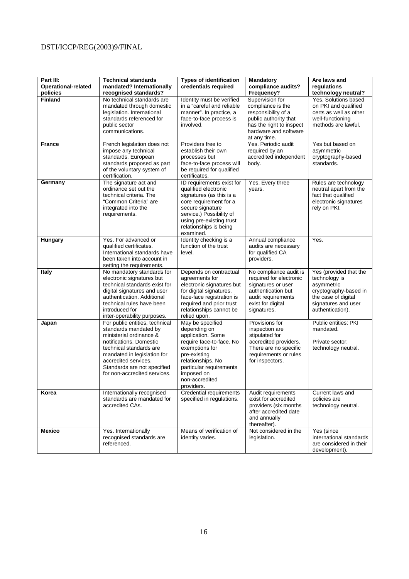| Part III:                       | <b>Technical standards</b>                                                                                                                                                                                                                                     | <b>Types of identification</b>                                                                                                                                                                                             | Mandatory                                                                                                                                                 | Are laws and                                                                                                                                     |
|---------------------------------|----------------------------------------------------------------------------------------------------------------------------------------------------------------------------------------------------------------------------------------------------------------|----------------------------------------------------------------------------------------------------------------------------------------------------------------------------------------------------------------------------|-----------------------------------------------------------------------------------------------------------------------------------------------------------|--------------------------------------------------------------------------------------------------------------------------------------------------|
| Operational-related<br>policies | mandated? Internationally<br>recognised standards?                                                                                                                                                                                                             | credentials required                                                                                                                                                                                                       | compliance audits?<br>Frequency?                                                                                                                          | regulations<br>technology neutral?                                                                                                               |
| <b>Finland</b>                  | No technical standards are<br>mandated through domestic<br>legislation. International<br>standards referenced for<br>public sector<br>communications.                                                                                                          | Identity must be verified<br>in a "careful and reliable<br>manner". In practice, a<br>face-to-face process is<br>involved.                                                                                                 | Supervision for<br>compliance is the<br>responsibility of a<br>public authority that<br>has the right to inspect<br>hardware and software<br>at any time. | Yes. Solutions based<br>on PKI and qualified<br>certs as well as other<br>well-functioning<br>methods are lawful.                                |
| <b>France</b>                   | French legislation does not<br>impose any technical<br>standards. European<br>standards proposed as part<br>of the voluntary system of<br>certification.                                                                                                       | Providers free to<br>establish their own<br>processes but<br>face-to-face process will<br>be required for qualified<br>certificates.                                                                                       | Yes. Periodic audit<br>required by an<br>accredited independent<br>body.                                                                                  | Yes but based on<br>asymmetric<br>cryptography-based<br>standards.                                                                               |
| Germany                         | The signature act and<br>ordinance set out the<br>technical criteria. The<br>"Common Criteria" are<br>integrated into the<br>requirements.                                                                                                                     | ID requirements exist for<br>qualified electronic<br>signatures (as this is a<br>core requirement for a<br>secure signature<br>service.) Possibility of<br>using pre-existing trust<br>relationships is being<br>examined. | Yes. Every three<br>years.                                                                                                                                | Rules are technology<br>neutral apart from the<br>fact that qualified<br>electronic signatures<br>rely on PKI.                                   |
| Hungary                         | Yes. For advanced or<br>qualified certificates.<br>International standards have<br>been taken into account in<br>setting the requirements.                                                                                                                     | Identity checking is a<br>function of the trust<br>level.                                                                                                                                                                  | Annual compliance<br>audits are necessary<br>for qualified CA<br>providers.                                                                               | Yes.                                                                                                                                             |
| <b>Italy</b>                    | No mandatory standards for<br>electronic signatures but<br>technical standards exist for<br>digital signatures and user<br>authentication. Additional<br>technical rules have been<br>introduced for<br>inter-operability purposes.                            | Depends on contractual<br>agreements for<br>electronic signatures but<br>for digital signatures,<br>face-face registration is<br>required and prior trust<br>relationships cannot be<br>relied upon.                       | No compliance audit is<br>required for electronic<br>signatures or user<br>authentication but<br>audit requirements<br>exist for digital<br>signatures.   | Yes (provided that the<br>technology is<br>asymmetric<br>cryptography-based in<br>the case of digital<br>signatures and user<br>authentication). |
| Japan                           | For public entities, technical<br>standards mandated by<br>ministerial ordinance &<br>notifications. Domestic<br>technical standards are<br>mandated in legislation for<br>accredited services.<br>Standards are not specified<br>for non-accredited services. | May be specified<br>depending on<br>application. Some<br>require face-to-face. No<br>exemptions for<br>pre-existing<br>relationships. No<br>particular requirements<br>imposed on<br>non-accredited<br>providers.          | Provisions for<br>inspection are<br>stipulated for<br>accredited providers.<br>There are no specific<br>requirements or rules<br>for inspectors.          | Public entities: PKI<br>mandated.<br>Private sector:<br>technology neutral.                                                                      |
| Korea                           | Internationally recognised<br>standards are mandated for<br>accredited CAs.                                                                                                                                                                                    | <b>Credential requirements</b><br>specified in regulations.                                                                                                                                                                | Audit requirements<br>exist for accredited<br>providers (six months<br>after accredited date<br>and annually<br>thereafter).                              | Current laws and<br>policies are<br>technology neutral.                                                                                          |
| <b>Mexico</b>                   | Yes. Internationally<br>recognised standards are<br>referenced.                                                                                                                                                                                                | Means of verification of<br>identity varies.                                                                                                                                                                               | Not considered in the<br>legislation.                                                                                                                     | Yes (since<br>international standards<br>are considered in their<br>development).                                                                |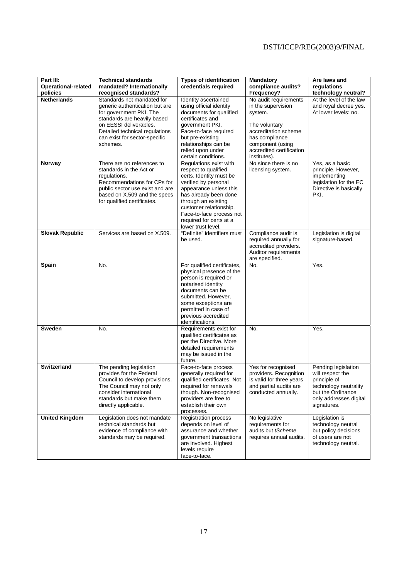| Part III:<br>Operational-related<br>policies | <b>Technical standards</b><br>mandated? Internationally<br>recognised standards?                                                                                                                                                | <b>Types of identification</b><br>credentials required                                                                                                                                                                                                                             | <b>Mandatory</b><br>compliance audits?<br>Frequency?                                                                                                                              | Are laws and<br>regulations<br>technology neutral?                                                                                             |
|----------------------------------------------|---------------------------------------------------------------------------------------------------------------------------------------------------------------------------------------------------------------------------------|------------------------------------------------------------------------------------------------------------------------------------------------------------------------------------------------------------------------------------------------------------------------------------|-----------------------------------------------------------------------------------------------------------------------------------------------------------------------------------|------------------------------------------------------------------------------------------------------------------------------------------------|
| <b>Netherlands</b>                           | Standards not mandated for<br>generic authentication but are<br>for government PKI. The<br>standards are heavily based<br>on EESSI deliverables.<br>Detailed technical regulations<br>can exist for sector-specific<br>schemes. | Identity ascertained<br>using official identity<br>documents for qualified<br>certificates and<br>government PKI.<br>Face-to-face required<br>but pre-existing<br>relationships can be<br>relied upon under<br>certain conditions.                                                 | No audit requirements<br>in the supervision<br>system.<br>The voluntary<br>accreditation scheme<br>has compliance<br>component (using<br>accredited certification<br>institutes). | At the level of the law<br>and royal decree yes.<br>At lower levels: no.                                                                       |
| Norway                                       | There are no references to<br>standards in the Act or<br>regulations.<br>Recommendations for CPs for<br>public sector use exist and are<br>based on X.509 and the specs<br>for qualified certificates.                          | Regulations exist with<br>respect to qualified<br>certs. Identity must be<br>verified by personal<br>appearance unless this<br>has already been done<br>through an existing<br>customer relationship.<br>Face-to-face process not<br>required for certs at a<br>lower trust level. | No since there is no<br>licensing system.                                                                                                                                         | Yes, as a basic<br>principle. However,<br>implementing<br>legislation for the EC<br>Directive is basically<br>PKI.                             |
| <b>Slovak Republic</b>                       | Services are based on X.509.                                                                                                                                                                                                    | "Definite" identifiers must<br>be used.                                                                                                                                                                                                                                            | Compliance audit is<br>required annually for<br>accredited providers.<br>Auditor requirements<br>are specified.                                                                   | Legislation is digital<br>signature-based.                                                                                                     |
| Spain                                        | No.                                                                                                                                                                                                                             | For qualified certificates,<br>physical presence of the<br>person is required or<br>notarised identity<br>documents can be<br>submitted. However,<br>some exceptions are<br>permitted in case of<br>previous accredited<br>identifications.                                        | No.                                                                                                                                                                               | Yes.                                                                                                                                           |
| <b>Sweden</b>                                | No.                                                                                                                                                                                                                             | Requirements exist for<br>qualified certificates as<br>per the Directive. More<br>detailed requirements<br>may be issued in the<br>future.                                                                                                                                         | No.                                                                                                                                                                               | Yes.                                                                                                                                           |
| <b>Switzerland</b>                           | The pending legislation<br>provides for the Federal<br>Council to develop provisions.<br>The Council may not only<br>consider international<br>standards but make them<br>directly applicable.                                  | Face-to-face process<br>generally required for<br>qualified certificates. Not<br>required for renewals<br>though. Non-recognised<br>providers are free to<br>establish their own<br>processes.                                                                                     | Yes for recognised<br>providers. Recognition<br>is valid for three years<br>and partial audits are<br>conducted annually.                                                         | Pending legislation<br>will respect the<br>principle of<br>technology neutrality<br>but the Ordinance<br>only addresses digital<br>signatures. |
| <b>United Kingdom</b>                        | Legislation does not mandate<br>technical standards but<br>evidence of compliance with<br>standards may be required.                                                                                                            | <b>Registration process</b><br>depends on level of<br>assurance and whether<br>government transactions<br>are involved. Highest<br>levels require<br>face-to-face.                                                                                                                 | No legislative<br>requirements for<br>audits but tScheme<br>requires annual audits.                                                                                               | Legislation is<br>technology neutral<br>but policy decisions<br>of users are not<br>technology neutral.                                        |